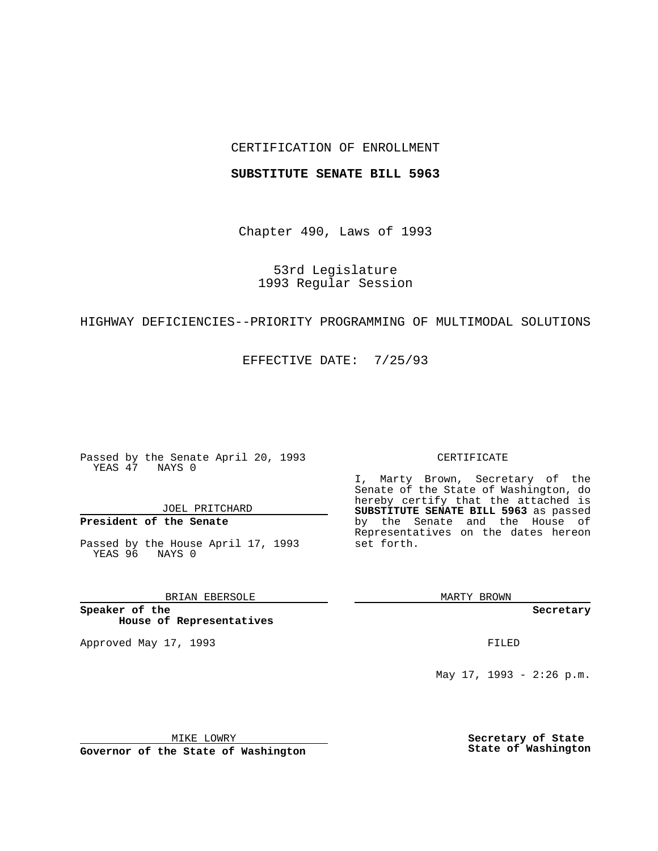## CERTIFICATION OF ENROLLMENT

## **SUBSTITUTE SENATE BILL 5963**

Chapter 490, Laws of 1993

53rd Legislature 1993 Regular Session

## HIGHWAY DEFICIENCIES--PRIORITY PROGRAMMING OF MULTIMODAL SOLUTIONS

EFFECTIVE DATE: 7/25/93

Passed by the Senate April 20, 1993 YEAS 47 NAYS 0

JOEL PRITCHARD

**President of the Senate**

Passed by the House April 17, 1993 YEAS 96 NAYS 0

BRIAN EBERSOLE

**Speaker of the House of Representatives**

Approved May 17, 1993 **FILED** 

#### CERTIFICATE

I, Marty Brown, Secretary of the Senate of the State of Washington, do hereby certify that the attached is **SUBSTITUTE SENATE BILL 5963** as passed by the Senate and the House of Representatives on the dates hereon set forth.

MARTY BROWN

**Secretary**

May 17, 1993 - 2:26 p.m.

MIKE LOWRY

**Governor of the State of Washington**

**Secretary of State State of Washington**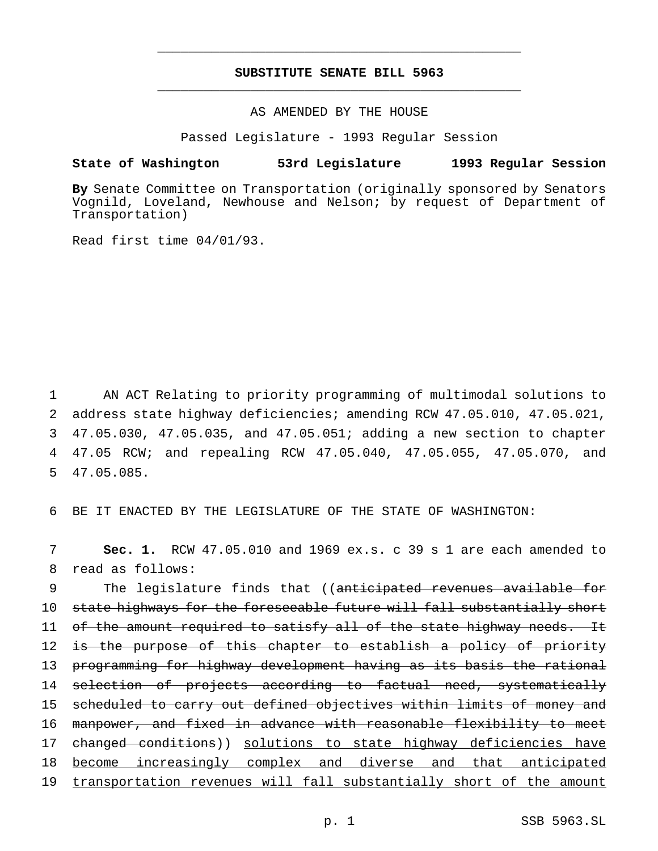# **SUBSTITUTE SENATE BILL 5963** \_\_\_\_\_\_\_\_\_\_\_\_\_\_\_\_\_\_\_\_\_\_\_\_\_\_\_\_\_\_\_\_\_\_\_\_\_\_\_\_\_\_\_\_\_\_\_

\_\_\_\_\_\_\_\_\_\_\_\_\_\_\_\_\_\_\_\_\_\_\_\_\_\_\_\_\_\_\_\_\_\_\_\_\_\_\_\_\_\_\_\_\_\_\_

AS AMENDED BY THE HOUSE

Passed Legislature - 1993 Regular Session

## **State of Washington 53rd Legislature 1993 Regular Session**

**By** Senate Committee on Transportation (originally sponsored by Senators Vognild, Loveland, Newhouse and Nelson; by request of Department of Transportation)

Read first time 04/01/93.

 AN ACT Relating to priority programming of multimodal solutions to address state highway deficiencies; amending RCW 47.05.010, 47.05.021, 47.05.030, 47.05.035, and 47.05.051; adding a new section to chapter 47.05 RCW; and repealing RCW 47.05.040, 47.05.055, 47.05.070, and 47.05.085.

6 BE IT ENACTED BY THE LEGISLATURE OF THE STATE OF WASHINGTON:

7 **Sec. 1.** RCW 47.05.010 and 1969 ex.s. c 39 s 1 are each amended to 8 read as follows:

9 The legislature finds that ((anticipated revenues available for 10 state highways for the foreseeable future will fall substantially short 11 of the amount required to satisfy all of the state highway needs. It 12 is the purpose of this chapter to establish a policy of priority 13 programming for highway development having as its basis the rational 14 selection of projects according to factual need, systematically 15 scheduled to carry out defined objectives within limits of money and 16 manpower, and fixed in advance with reasonable flexibility to meet 17 changed conditions)) solutions to state highway deficiencies have 18 become increasingly complex and diverse and that anticipated 19 transportation revenues will fall substantially short of the amount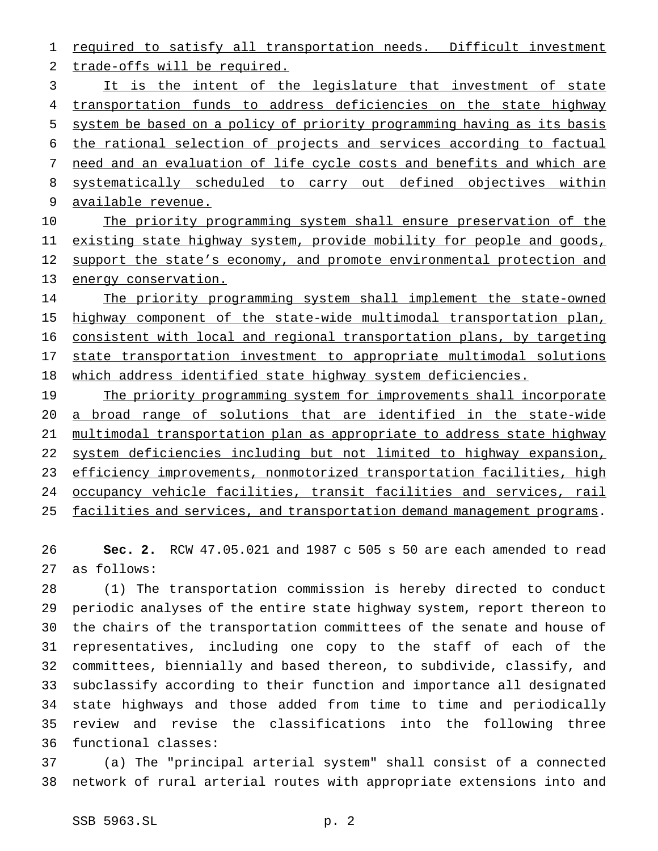1 required to satisfy all transportation needs. Difficult investment trade-offs will be required.

 It is the intent of the legislature that investment of state 4 transportation funds to address deficiencies on the state highway system be based on a policy of priority programming having as its basis the rational selection of projects and services according to factual need and an evaluation of life cycle costs and benefits and which are systematically scheduled to carry out defined objectives within available revenue.

10 The priority programming system shall ensure preservation of the 11 existing state highway system, provide mobility for people and goods, 12 support the state's economy, and promote environmental protection and 13 energy conservation.

14 The priority programming system shall implement the state-owned 15 highway component of the state-wide multimodal transportation plan, consistent with local and regional transportation plans, by targeting state transportation investment to appropriate multimodal solutions 18 which address identified state highway system deficiencies.

19 The priority programming system for improvements shall incorporate a broad range of solutions that are identified in the state-wide multimodal transportation plan as appropriate to address state highway system deficiencies including but not limited to highway expansion, efficiency improvements, nonmotorized transportation facilities, high occupancy vehicle facilities, transit facilities and services, rail 25 facilities and services, and transportation demand management programs.

 **Sec. 2.** RCW 47.05.021 and 1987 c 505 s 50 are each amended to read as follows:

 (1) The transportation commission is hereby directed to conduct periodic analyses of the entire state highway system, report thereon to the chairs of the transportation committees of the senate and house of representatives, including one copy to the staff of each of the committees, biennially and based thereon, to subdivide, classify, and subclassify according to their function and importance all designated state highways and those added from time to time and periodically review and revise the classifications into the following three functional classes:

 (a) The "principal arterial system" shall consist of a connected network of rural arterial routes with appropriate extensions into and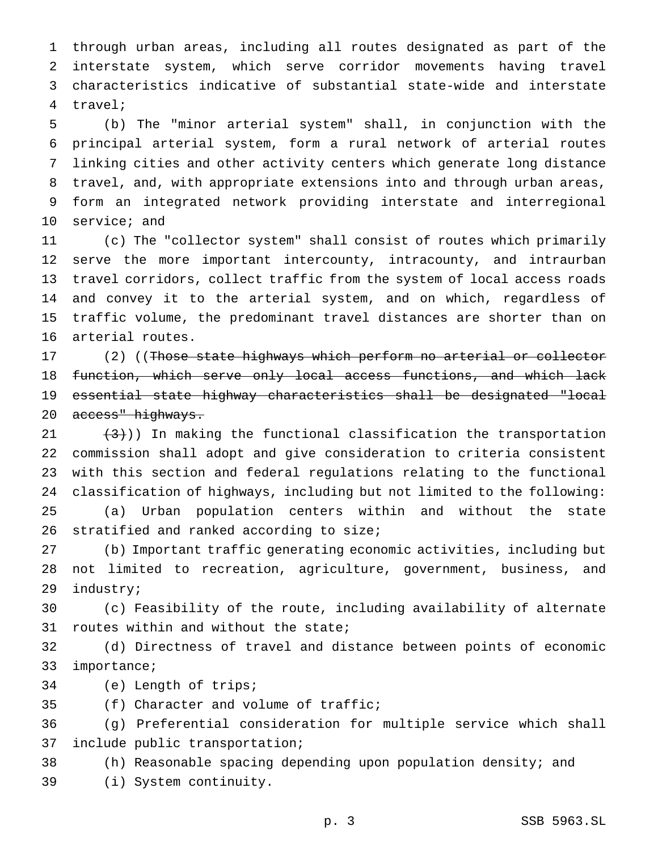through urban areas, including all routes designated as part of the interstate system, which serve corridor movements having travel characteristics indicative of substantial state-wide and interstate travel;

 (b) The "minor arterial system" shall, in conjunction with the principal arterial system, form a rural network of arterial routes linking cities and other activity centers which generate long distance travel, and, with appropriate extensions into and through urban areas, form an integrated network providing interstate and interregional service; and

 (c) The "collector system" shall consist of routes which primarily serve the more important intercounty, intracounty, and intraurban travel corridors, collect traffic from the system of local access roads and convey it to the arterial system, and on which, regardless of traffic volume, the predominant travel distances are shorter than on arterial routes.

17 (2) ((Those state highways which perform no arterial or collector 18 function, which serve only local access functions, and which lack essential state highway characteristics shall be designated "local 20 access" highways.

 $(3)$ )) In making the functional classification the transportation commission shall adopt and give consideration to criteria consistent with this section and federal regulations relating to the functional classification of highways, including but not limited to the following: (a) Urban population centers within and without the state 26 stratified and ranked according to size;

 (b) Important traffic generating economic activities, including but not limited to recreation, agriculture, government, business, and industry;

 (c) Feasibility of the route, including availability of alternate routes within and without the state;

 (d) Directness of travel and distance between points of economic importance;

(e) Length of trips;

(f) Character and volume of traffic;

 (g) Preferential consideration for multiple service which shall include public transportation;

 (h) Reasonable spacing depending upon population density; and (i) System continuity.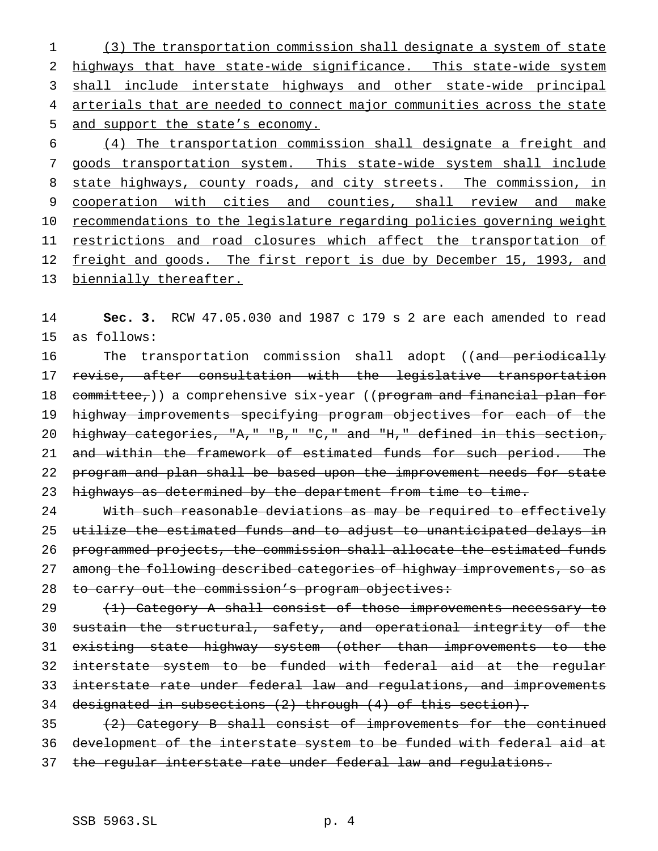(3) The transportation commission shall designate a system of state highways that have state-wide significance. This state-wide system 3 shall include interstate highways and other state-wide principal arterials that are needed to connect major communities across the state and support the state's economy.

6 (4) The transportation commission shall designate a freight and 7 goods transportation system. This state-wide system shall include 8 state highways, county roads, and city streets. The commission, in 9 cooperation with cities and counties, shall review and make 10 recommendations to the legislature regarding policies governing weight 11 restrictions and road closures which affect the transportation of 12 freight and goods. The first report is due by December 15, 1993, and 13 biennially thereafter.

14 **Sec. 3.** RCW 47.05.030 and 1987 c 179 s 2 are each amended to read 15 as follows:

16 The transportation commission shall adopt ((and periodically 17 revise, after consultation with the legislative transportation 18 committee,)) a comprehensive six-year ((program and financial plan for 19 highway improvements specifying program objectives for each of the 20 highway categories, "A," "B," "C," and "H," defined in this section, 21 and within the framework of estimated funds for such period. The 22 program and plan shall be based upon the improvement needs for state 23 highways as determined by the department from time to time.

24 With such reasonable deviations as may be required to effectively 25 utilize the estimated funds and to adjust to unanticipated delays in 26 programmed projects, the commission shall allocate the estimated funds 27 among the following described categories of highway improvements, so as 28 to carry out the commission's program objectives:

29 (1) Category A shall consist of those improvements necessary to sustain the structural, safety, and operational integrity of the existing state highway system (other than improvements to the interstate system to be funded with federal aid at the regular interstate rate under federal law and regulations, and improvements designated in subsections (2) through (4) of this section).

35 (2) Category B shall consist of improvements for the continued 36 development of the interstate system to be funded with federal aid at 37 the regular interstate rate under federal law and regulations.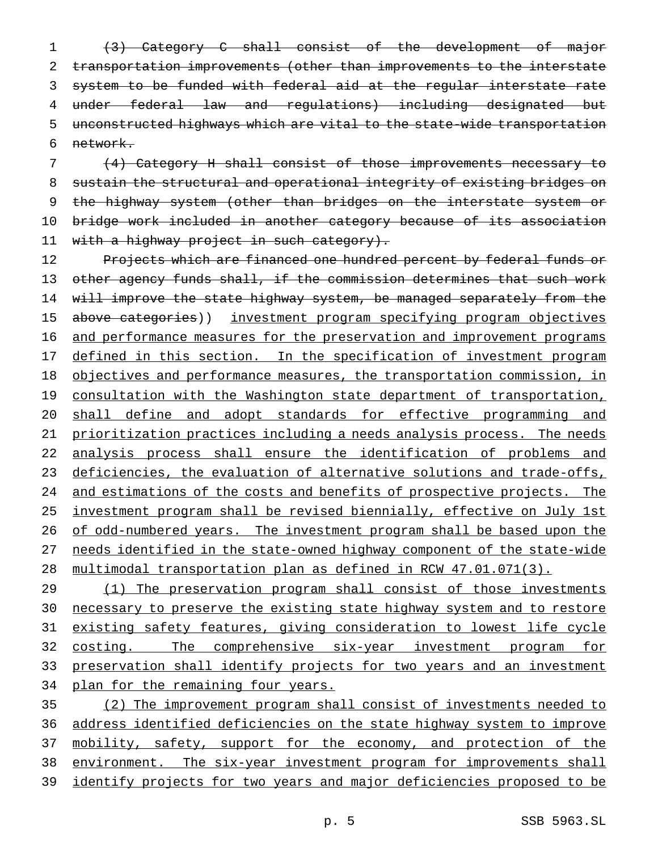(3) Category C shall consist of the development of major transportation improvements (other than improvements to the interstate system to be funded with federal aid at the regular interstate rate under federal law and regulations) including designated but unconstructed highways which are vital to the state-wide transportation 6 network.

7 (4) Category H shall consist of those improvements necessary to 8 sustain the structural and operational integrity of existing bridges on 9 the highway system (other than bridges on the interstate system or 10 bridge work included in another category because of its association 11 with a highway project in such category).

12 Projects which are financed one hundred percent by federal funds or 13 other agency funds shall, if the commission determines that such work 14 will improve the state highway system, be managed separately from the 15 above categories)) investment program specifying program objectives 16 and performance measures for the preservation and improvement programs 17 defined in this section. In the specification of investment program 18 objectives and performance measures, the transportation commission, in 19 consultation with the Washington state department of transportation, 20 shall define and adopt standards for effective programming and 21 prioritization practices including a needs analysis process. The needs 22 analysis process shall ensure the identification of problems and 23 deficiencies, the evaluation of alternative solutions and trade-offs, 24 and estimations of the costs and benefits of prospective projects. The 25 investment program shall be revised biennially, effective on July 1st 26 of odd-numbered years. The investment program shall be based upon the 27 needs identified in the state-owned highway component of the state-wide 28 multimodal transportation plan as defined in RCW 47.01.071(3).

29 (1) The preservation program shall consist of those investments 30 necessary to preserve the existing state highway system and to restore 31 existing safety features, giving consideration to lowest life cycle 32 costing. The comprehensive six-year investment program for 33 preservation shall identify projects for two years and an investment 34 plan for the remaining four years.

 (2) The improvement program shall consist of investments needed to address identified deficiencies on the state highway system to improve 37 mobility, safety, support for the economy, and protection of the environment. The six-year investment program for improvements shall identify projects for two years and major deficiencies proposed to be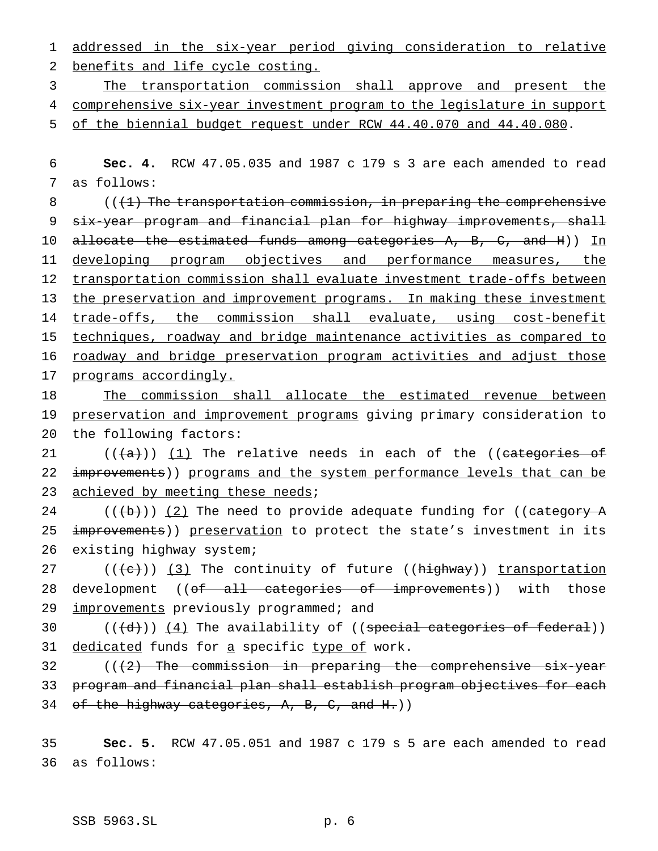1 addressed in the six-year period giving consideration to relative 2 benefits and life cycle costing.

3 The transportation commission shall approve and present the 4 comprehensive six-year investment program to the legislature in support

5 of the biennial budget request under RCW 44.40.070 and 44.40.080.

6 **Sec. 4.** RCW 47.05.035 and 1987 c 179 s 3 are each amended to read 7 as follows:

8  $($   $($   $($   $+1)$  The transportation commission, in preparing the comprehensive 9 six-year program and financial plan for highway improvements, shall 10 <del>allocate the estimated funds among categories A, B, C, and H</del>)) In 11 developing program objectives and performance measures, the 12 transportation commission shall evaluate investment trade-offs between 13 the preservation and improvement programs. In making these investment 14 trade-offs, the commission shall evaluate, using cost-benefit 15 techniques, roadway and bridge maintenance activities as compared to 16 roadway and bridge preservation program activities and adjust those 17 programs accordingly.

18 The commission shall allocate the estimated revenue between 19 preservation and improvement programs giving primary consideration to 20 the following factors:

21  $((+a))$   $(1)$  The relative needs in each of the ((categories of 22 improvements)) programs and the system performance levels that can be 23 achieved by meeting these needs;

24  $((+b))$   $(2)$  The need to provide adequate funding for ((category A 25 improvements)) preservation to protect the state's investment in its 26 existing highway system;

27  $((+e))$   $(3)$  The continuity of future ((highway)) transportation 28 development ((of all categories of improvements)) with those 29 improvements previously programmed; and

30  $((\{d\}) \ (4)$  The availability of  $((spectral categories of federal))$ 31 dedicated funds for a specific type of work.

32  $((2)$  The commission in preparing the comprehensive six-year 33 program and financial plan shall establish program objectives for each 34 of the highway categories,  $A$ ,  $B$ ,  $C$ , and  $H$ .))

35 **Sec. 5.** RCW 47.05.051 and 1987 c 179 s 5 are each amended to read 36 as follows: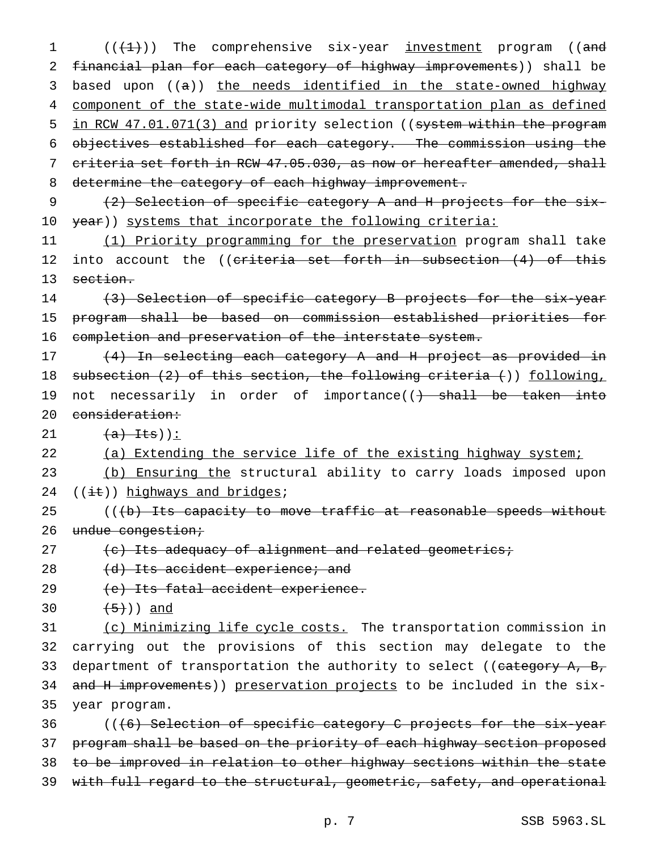$((+1))$  The comprehensive six-year <u>investment</u> program ((and financial plan for each category of highway improvements)) shall be 3 based upon ((a)) the needs identified in the state-owned highway component of the state-wide multimodal transportation plan as defined 5 in RCW 47.01.071(3) and priority selection ((system within the program objectives established for each category. The commission using the criteria set forth in RCW 47.05.030, as now or hereafter amended, shall 8 determine the category of each highway improvement.

9 (2) Selection of specific category A and H projects for the six-10 year)) systems that incorporate the following criteria:

11 (1) Priority programming for the preservation program shall take 12 into account the ((criteria set forth in subsection (4) of this 13 section.

14 (3) Selection of specific category B projects for the six-year 15 program shall be based on commission established priorities for 16 completion and preservation of the interstate system.

17 (4) In selecting each category A and H project as provided in 18 subsection (2) of this section, the following criteria ()) following, 19 not necessarily in order of importance((<del>) shall be taken into</del> 20 consideration:

21  $(a)$  Its)):

22 (a) Extending the service life of the existing highway system;

23 (b) Ensuring the structural ability to carry loads imposed upon 24  $((i<sub>t</sub>))$  highways and bridges;

25 (((b) Its capacity to move traffic at reasonable speeds without 26 undue congestion;

27  $(e)$  Its adequacy of alignment and related geometrics;

28 (d) Its accident experience; and

29 (e) Its fatal accident experience.

30  $(5)$ ) and

31 (c) Minimizing life cycle costs. The transportation commission in 32 carrying out the provisions of this section may delegate to the 33 department of transportation the authority to select ((category A, B, 34 and H improvements)) preservation projects to be included in the six-35 year program.

36 (((6) Selection of specific category C projects for the six-year 37 program shall be based on the priority of each highway section proposed 38 to be improved in relation to other highway sections within the state 39 with full regard to the structural, geometric, safety, and operational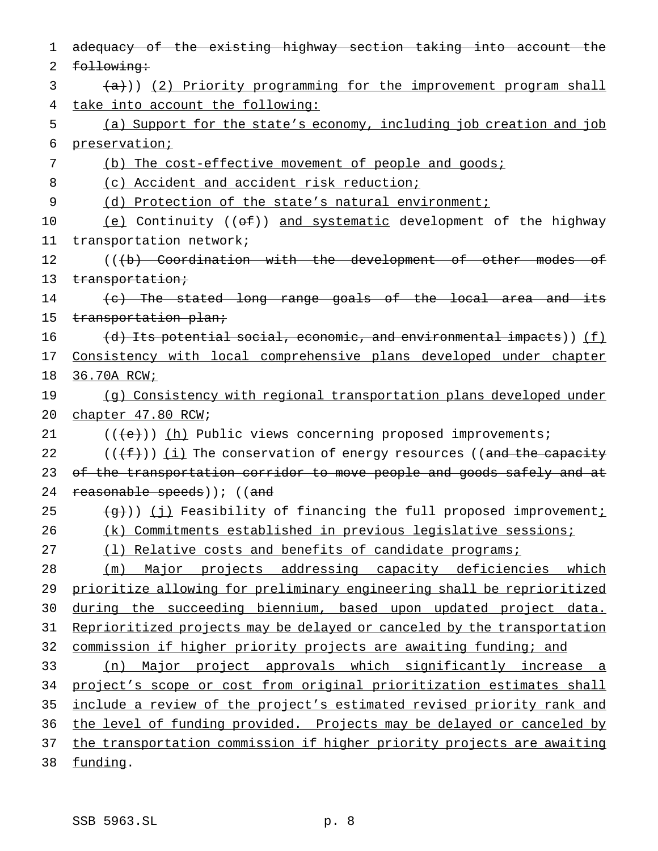| 1  | adequacy of the existing highway section taking into account the                                 |
|----|--------------------------------------------------------------------------------------------------|
| 2  | following:                                                                                       |
| 3  | (a))) (2) Priority programming for the improvement program shall                                 |
| 4  | take into account the following:                                                                 |
| 5  | (a) Support for the state's economy, including job creation and job                              |
| 6  | preservation;                                                                                    |
| 7  | (b) The cost-effective movement of people and goods;                                             |
| 8  | (c) Accident and accident risk reduction;                                                        |
| 9  | (d) Protection of the state's natural environment;                                               |
| 10 | $(e)$ Continuity (( $\Theta$ )) and systematic development of the highway                        |
| 11 | transportation network;                                                                          |
| 12 | (((b) Coordination with the development of other modes of                                        |
| 13 | transportation;                                                                                  |
| 14 | (c) The stated long range goals of the local area and its                                        |
| 15 | transportation plan;                                                                             |
| 16 | $(d)$ Its potential social, economic, and environmental impacts)) (f)                            |
| 17 | Consistency with local comprehensive plans developed under chapter                               |
| 18 | 36.70A RCW;                                                                                      |
| 19 | (g) Consistency with regional transportation plans developed under                               |
| 20 | chapter 47.80 RCW;                                                                               |
| 21 | $((e+))$ (h) Public views concerning proposed improvements;                                      |
| 22 | $((+f+))$ (i) The conservation of energy resources ((and the capacity                            |
| 23 | of the transportation corridor to move people and goods safely and at                            |
| 24 | reasonable speeds)); ((and                                                                       |
| 25 | $\left(\frac{1}{9}\right)$ ) (j) Feasibility of financing the full proposed improvement <u>;</u> |
| 26 | (k) Commitments established in previous legislative sessions;                                    |
| 27 | (1) Relative costs and benefits of candidate programs;                                           |
| 28 | Major projects addressing capacity deficiencies which<br>(m)                                     |
| 29 | prioritize allowing for preliminary engineering shall be reprioritized                           |
| 30 | during the succeeding biennium, based upon updated project data.                                 |
| 31 | Reprioritized projects may be delayed or canceled by the transportation                          |
| 32 | commission if higher priority projects are awaiting funding; and                                 |
| 33 | Major project approvals which significantly increase a<br>(n)                                    |
| 34 | project's scope or cost from original prioritization estimates shall                             |
| 35 | include a review of the project's estimated revised priority rank and                            |
| 36 | the level of funding provided. Projects may be delayed or canceled by                            |
| 37 | the transportation commission if higher priority projects are awaiting                           |
| 38 | funding.                                                                                         |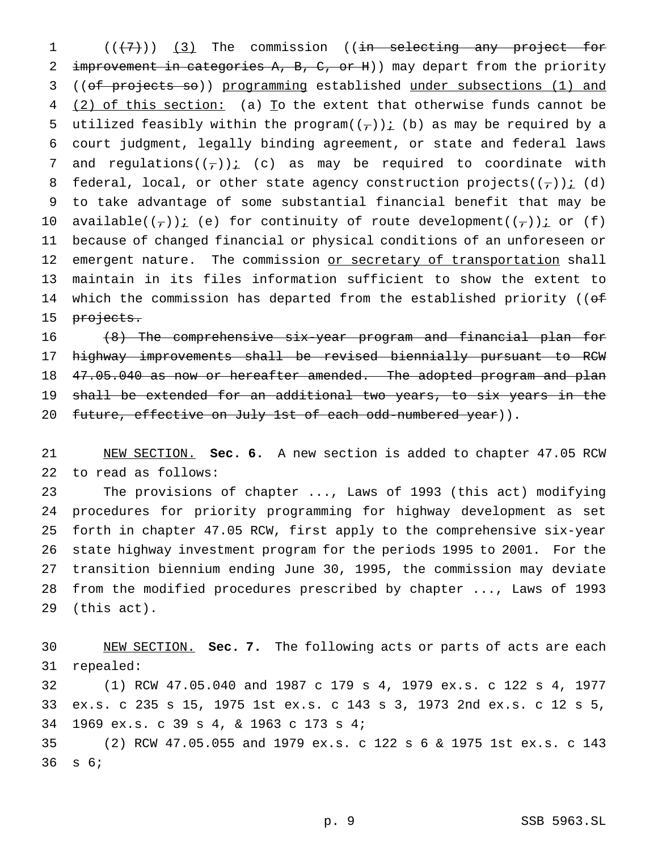1 (((7)) (3) The commission ((in selecting any project for 2 improvement in categories A, B, C, or H)) may depart from the priority ((of projects so)) programming established under subsections (1) and 4 (2) of this section: (a) To the extent that otherwise funds cannot be 5 utilized feasibly within the program( $(\tau)$ )  $\leq$  (b) as may be required by a court judgment, legally binding agreement, or state and federal laws 7 and regulations( $(\tau)$ ): (c) as may be required to coordinate with 8 federal, local, or other state agency construction projects( $(\tau)$ )  $i$  (d) to take advantage of some substantial financial benefit that may be 10 available( $(\tau)$ )  $\leq$  (e) for continuity of route development( $(\tau)$ )  $\leq$  or (f) because of changed financial or physical conditions of an unforeseen or 12 emergent nature. The commission or secretary of transportation shall maintain in its files information sufficient to show the extent to 14 which the commission has departed from the established priority ((of 15 projects.

 (8) The comprehensive six-year program and financial plan for highway improvements shall be revised biennially pursuant to RCW 18 47.05.040 as now or hereafter amended. The adopted program and plan 19 shall be extended for an additional two years, to six years in the 20 future, effective on July 1st of each odd-numbered year)).

 NEW SECTION. **Sec. 6.** A new section is added to chapter 47.05 RCW to read as follows:

 The provisions of chapter ..., Laws of 1993 (this act) modifying procedures for priority programming for highway development as set forth in chapter 47.05 RCW, first apply to the comprehensive six-year state highway investment program for the periods 1995 to 2001. For the transition biennium ending June 30, 1995, the commission may deviate from the modified procedures prescribed by chapter ..., Laws of 1993 (this act).

 NEW SECTION. **Sec. 7.** The following acts or parts of acts are each repealed: (1) RCW 47.05.040 and 1987 c 179 s 4, 1979 ex.s. c 122 s 4, 1977 ex.s. c 235 s 15, 1975 1st ex.s. c 143 s 3, 1973 2nd ex.s. c 12 s 5, 1969 ex.s. c 39 s 4, & 1963 c 173 s 4; (2) RCW 47.05.055 and 1979 ex.s. c 122s6& 1975 1st ex.s. c 143 s 6;